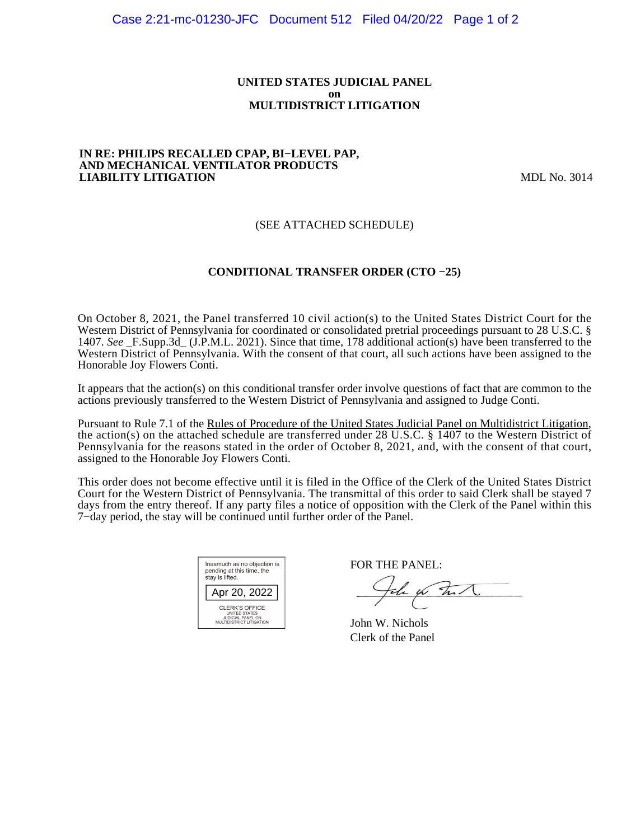#### **UNITED STATES JUDICIAL PANEL on MULTIDISTRICT LITIGATION**

#### **IN RE: PHILIPS RECALLED CPAP, BI−LEVEL PAP, AND MECHANICAL VENTILATOR PRODUCTS LIABILITY LITIGATION** MDL No. 3014

## (SEE ATTACHED SCHEDULE)

## **CONDITIONAL TRANSFER ORDER (CTO −25)**

On October 8, 2021, the Panel transferred 10 civil action(s) to the United States District Court for the Western District of Pennsylvania for coordinated or consolidated pretrial proceedings pursuant to 28 U.S.C. § 1407. *See* \_F.Supp.3d\_ (J.P.M.L. 2021). Since that time, 178 additional action(s) have been transferred to the Western District of Pennsylvania. With the consent of that court, all such actions have been assigned to the Honorable Joy Flowers Conti.

It appears that the action(s) on this conditional transfer order involve questions of fact that are common to the actions previously transferred to the Western District of Pennsylvania and assigned to Judge Conti.

Pursuant to Rule 7.1 of the Rules of Procedure of the United States Judicial Panel on Multidistrict Litigation, the action(s) on the attached schedule are transferred under 28 U.S.C. § 1407 to the Western District of Pennsylvania for the reasons stated in the order of October 8, 2021, and, with the consent of that court, assigned to the Honorable Joy Flowers Conti.

This order does not become effective until it is filed in the Office of the Clerk of the United States District Court for the Western District of Pennsylvania. The transmittal of this order to said Clerk shall be stayed 7 days from the entry thereof. If any party files a notice of opposition with the Clerk of the Panel within this 7−day period, the stay will be continued until further order of the Panel.

| Inasmuch as no objection is<br>pending at this time, the<br>stay is lifted.             |
|-----------------------------------------------------------------------------------------|
| Apr 20, 2022                                                                            |
| <b>CLERK'S OFFICE</b><br>UNITED STATES<br>JUDICIAL PANEL ON<br>MULTIDISTRICT LITIGATION |

FOR THE PANEL:

the for that

John W. Nichols Clerk of the Panel